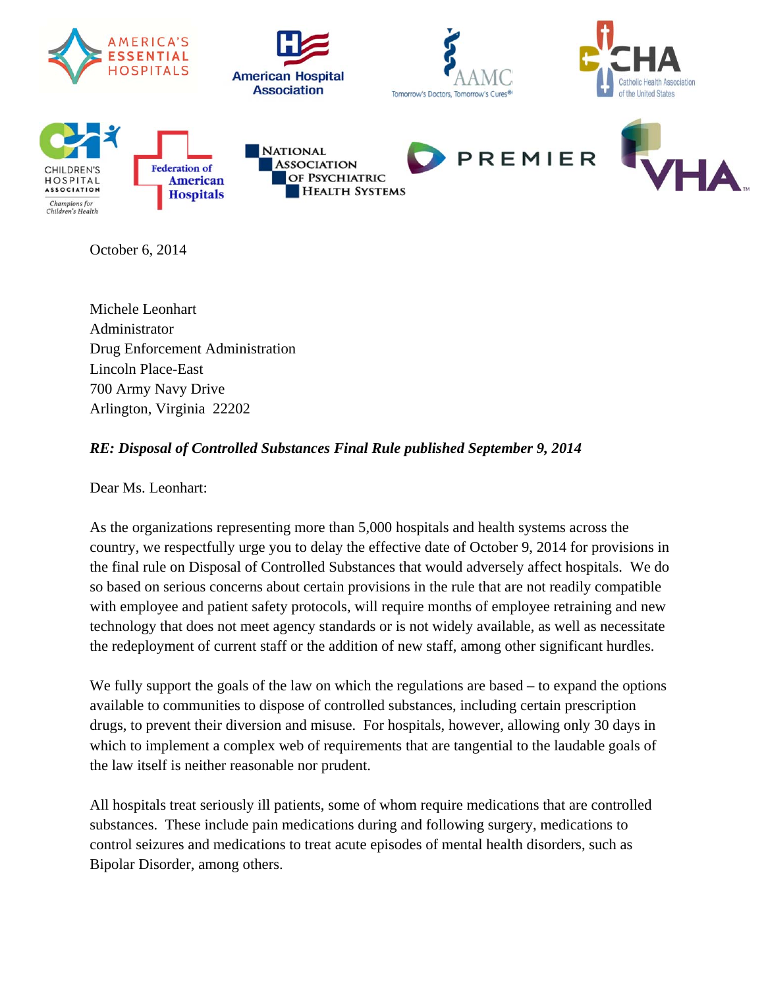

October 6, 2014

Michele Leonhart Administrator Drug Enforcement Administration Lincoln Place-East 700 Army Navy Drive Arlington, Virginia 22202

## *RE: Disposal of Controlled Substances Final Rule published September 9, 2014*

Dear Ms. Leonhart:

As the organizations representing more than 5,000 hospitals and health systems across the country, we respectfully urge you to delay the effective date of October 9, 2014 for provisions in the final rule on Disposal of Controlled Substances that would adversely affect hospitals. We do so based on serious concerns about certain provisions in the rule that are not readily compatible with employee and patient safety protocols, will require months of employee retraining and new technology that does not meet agency standards or is not widely available, as well as necessitate the redeployment of current staff or the addition of new staff, among other significant hurdles.

We fully support the goals of the law on which the regulations are based – to expand the options available to communities to dispose of controlled substances, including certain prescription drugs, to prevent their diversion and misuse. For hospitals, however, allowing only 30 days in which to implement a complex web of requirements that are tangential to the laudable goals of the law itself is neither reasonable nor prudent.

All hospitals treat seriously ill patients, some of whom require medications that are controlled substances. These include pain medications during and following surgery, medications to control seizures and medications to treat acute episodes of mental health disorders, such as Bipolar Disorder, among others.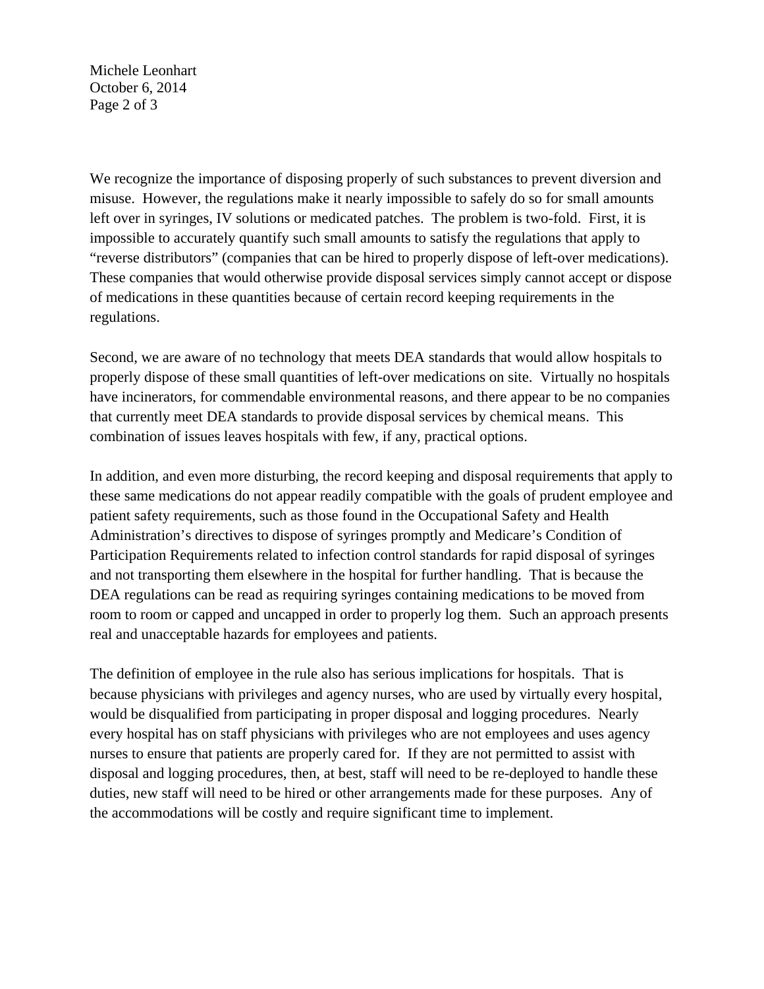Michele Leonhart October 6, 2014 Page 2 of 3

We recognize the importance of disposing properly of such substances to prevent diversion and misuse. However, the regulations make it nearly impossible to safely do so for small amounts left over in syringes, IV solutions or medicated patches. The problem is two-fold. First, it is impossible to accurately quantify such small amounts to satisfy the regulations that apply to "reverse distributors" (companies that can be hired to properly dispose of left-over medications). These companies that would otherwise provide disposal services simply cannot accept or dispose of medications in these quantities because of certain record keeping requirements in the regulations.

Second, we are aware of no technology that meets DEA standards that would allow hospitals to properly dispose of these small quantities of left-over medications on site. Virtually no hospitals have incinerators, for commendable environmental reasons, and there appear to be no companies that currently meet DEA standards to provide disposal services by chemical means. This combination of issues leaves hospitals with few, if any, practical options.

In addition, and even more disturbing, the record keeping and disposal requirements that apply to these same medications do not appear readily compatible with the goals of prudent employee and patient safety requirements, such as those found in the Occupational Safety and Health Administration's directives to dispose of syringes promptly and Medicare's Condition of Participation Requirements related to infection control standards for rapid disposal of syringes and not transporting them elsewhere in the hospital for further handling. That is because the DEA regulations can be read as requiring syringes containing medications to be moved from room to room or capped and uncapped in order to properly log them. Such an approach presents real and unacceptable hazards for employees and patients.

The definition of employee in the rule also has serious implications for hospitals. That is because physicians with privileges and agency nurses, who are used by virtually every hospital, would be disqualified from participating in proper disposal and logging procedures. Nearly every hospital has on staff physicians with privileges who are not employees and uses agency nurses to ensure that patients are properly cared for. If they are not permitted to assist with disposal and logging procedures, then, at best, staff will need to be re-deployed to handle these duties, new staff will need to be hired or other arrangements made for these purposes. Any of the accommodations will be costly and require significant time to implement.